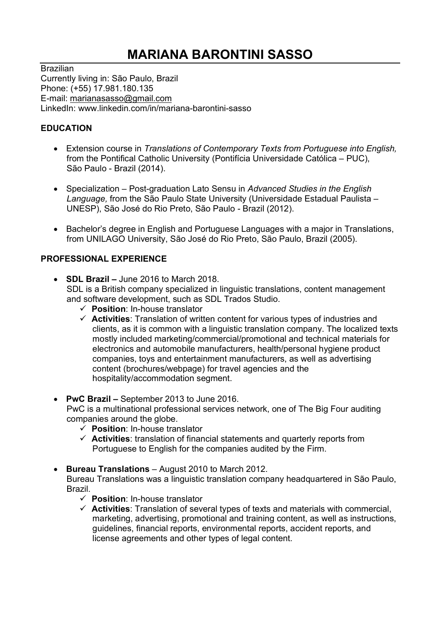## MARIANA BARONTINI SASSO

**Brazilian** Currently living in: São Paulo, Brazil Phone: (+55) 17.981.180.135 E-mail: marianasasso@gmail.com LinkedIn: www.linkedin.com/in/mariana-barontini-sasso

## EDUCATION

- Extension course in Translations of Contemporary Texts from Portuguese into English, from the Pontifical Catholic University (Pontifícia Universidade Católica – PUC), São Paulo - Brazil (2014).
- Specialization Post-graduation Lato Sensu in Advanced Studies in the English Language, from the São Paulo State University (Universidade Estadual Paulista – UNESP), São José do Rio Preto, São Paulo - Brazil (2012).
- Bachelor's degree in English and Portuguese Languages with a major in Translations, from UNILAGO University, São José do Rio Preto, São Paulo, Brazil (2005).

## PROFESSIONAL EXPERIENCE

- $\bullet$  SDL Brazil June 2016 to March 2018. SDL is a British company specialized in linguistic translations, content management and software development, such as SDL Trados Studio.
	- $\checkmark$  Position: In-house translator
	- $\checkmark$  Activities: Translation of written content for various types of industries and clients, as it is common with a linguistic translation company. The localized texts mostly included marketing/commercial/promotional and technical materials for electronics and automobile manufacturers, health/personal hygiene product companies, toys and entertainment manufacturers, as well as advertising content (brochures/webpage) for travel agencies and the hospitality/accommodation segment.
- PwC Brazil September 2013 to June 2016. PwC is a multinational professional services network, one of The Big Four auditing companies around the globe.
	- $\checkmark$  Position: In-house translator
	- $\checkmark$  Activities: translation of financial statements and quarterly reports from Portuguese to English for the companies audited by the Firm.
- Bureau Translations August 2010 to March 2012.

Bureau Translations was a linguistic translation company headquartered in São Paulo, Brazil.

- $\checkmark$  Position: In-house translator
- $\checkmark$  Activities: Translation of several types of texts and materials with commercial, marketing, advertising, promotional and training content, as well as instructions, guidelines, financial reports, environmental reports, accident reports, and license agreements and other types of legal content.